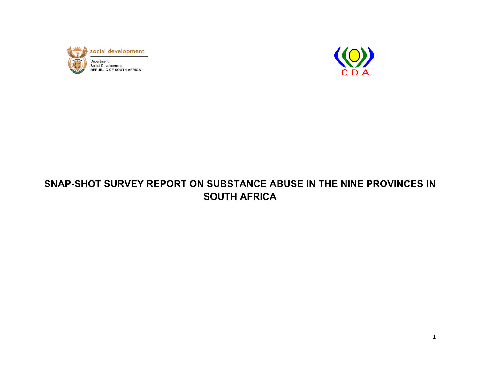



# **SNAP-SHOT SURVEY REPORT ON SUBSTANCE ABUSE IN THE NINE PROVINCES IN SOUTH AFRICA**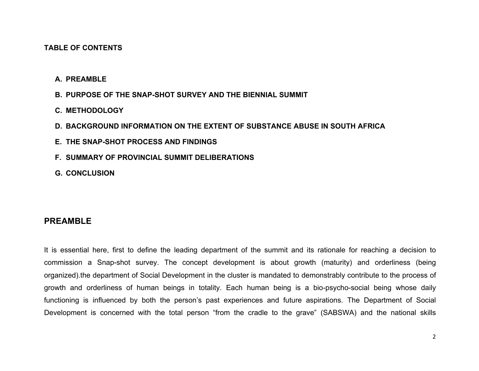#### **TABLE OF CONTENTS**

- **A. PREAMBLE**
- **B. PURPOSE OF THE SNAP-SHOT SURVEY AND THE BIENNIAL SUMMIT**
- **C. METHODOLOGY**
- **D. BACKGROUND INFORMATION ON THE EXTENT OF SUBSTANCE ABUSE IN SOUTH AFRICA**
- **E. THE SNAP-SHOT PROCESS AND FINDINGS**
- **F. SUMMARY OF PROVINCIAL SUMMIT DELIBERATIONS**
- **G. CONCLUSION**

#### **PREAMBLE**

It is essential here, first to define the leading department of the summit and its rationale for reaching a decision to commission a Snap-shot survey. The concept development is about growth (maturity) and orderliness (being organized).the department of Social Development in the cluster is mandated to demonstrably contribute to the process of growth and orderliness of human beings in totality. Each human being is a bio-psycho-social being whose daily functioning is influenced by both the person's past experiences and future aspirations. The Department of Social Development is concerned with the total person "from the cradle to the grave" (SABSWA) and the national skills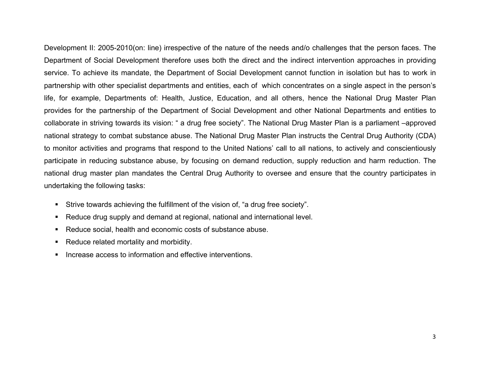Development II: 2005-2010(on: line) irrespective of the nature of the needs and/o challenges that the person faces. The Department of Social Development therefore uses both the direct and the indirect intervention approaches in providing service. To achieve its mandate, the Department of Social Development cannot function in isolation but has to work in partnership with other specialist departments and entities, each of which concentrates on a single aspect in the person's life, for example, Departments of: Health, Justice, Education, and all others, hence the National Drug Master Plan provides for the partnership of the Department of Social Development and other National Departments and entities to collaborate in striving towards its vision: " a drug free society". The National Drug Master Plan is a parliament –approved national strategy to combat substance abuse. The National Drug Master Plan instructs the Central Drug Authority (CDA) to monitor activities and programs that respond to the United Nations' call to all nations, to actively and conscientiously participate in reducing substance abuse, by focusing on demand reduction, supply reduction and harm reduction. The national drug master plan mandates the Central Drug Authority to oversee and ensure that the country participates in undertaking the following tasks:

- Strive towards achieving the fulfillment of the vision of, "a drug free society".
- Reduce drug supply and demand at regional, national and international level.
- Reduce social, health and economic costs of substance abuse.
- Reduce related mortality and morbidity.
- **Increase access to information and effective interventions.**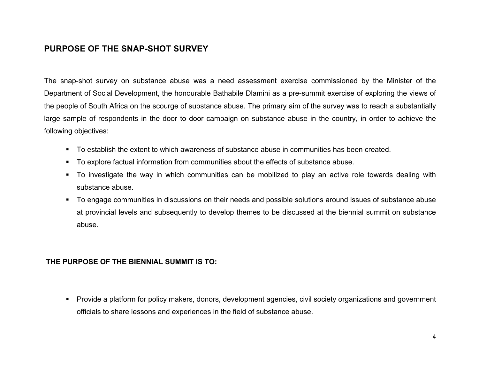# **PURPOSE OF THE SNAP-SHOT SURVEY**

The snap-shot survey on substance abuse was a need assessment exercise commissioned by the Minister of the Department of Social Development, the honourable Bathabile Dlamini as a pre-summit exercise of exploring the views of the people of South Africa on the scourge of substance abuse. The primary aim of the survey was to reach a substantially large sample of respondents in the door to door campaign on substance abuse in the country, in order to achieve the following objectives:

- To establish the extent to which awareness of substance abuse in communities has been created.
- To explore factual information from communities about the effects of substance abuse.
- To investigate the way in which communities can be mobilized to play an active role towards dealing with substance abuse.
- To engage communities in discussions on their needs and possible solutions around issues of substance abuse at provincial levels and subsequently to develop themes to be discussed at the biennial summit on substance abuse.

#### **THE PURPOSE OF THE BIENNIAL SUMMIT IS TO:**

 Provide a platform for policy makers, donors, development agencies, civil society organizations and government officials to share lessons and experiences in the field of substance abuse.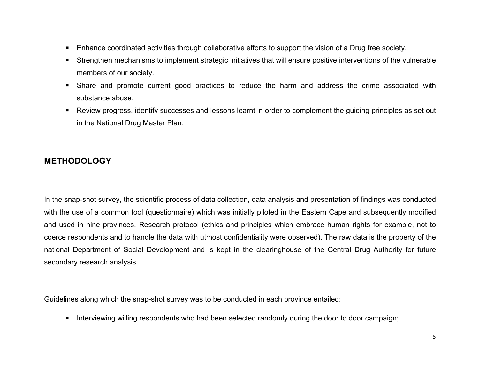- Enhance coordinated activities through collaborative efforts to support the vision of a Drug free society.
- Strengthen mechanisms to implement strategic initiatives that will ensure positive interventions of the vulnerable members of our society.
- Share and promote current good practices to reduce the harm and address the crime associated with substance abuse.
- Review progress, identify successes and lessons learnt in order to complement the guiding principles as set out in the National Drug Master Plan.

# **METHODOLOGY**

In the snap-shot survey, the scientific process of data collection, data analysis and presentation of findings was conducted with the use of a common tool (questionnaire) which was initially piloted in the Eastern Cape and subsequently modified and used in nine provinces. Research protocol (ethics and principles which embrace human rights for example, not to coerce respondents and to handle the data with utmost confidentiality were observed). The raw data is the property of the national Department of Social Development and is kept in the clearinghouse of the Central Drug Authority for future secondary research analysis.

Guidelines along which the snap-shot survey was to be conducted in each province entailed:

Interviewing willing respondents who had been selected randomly during the door to door campaign;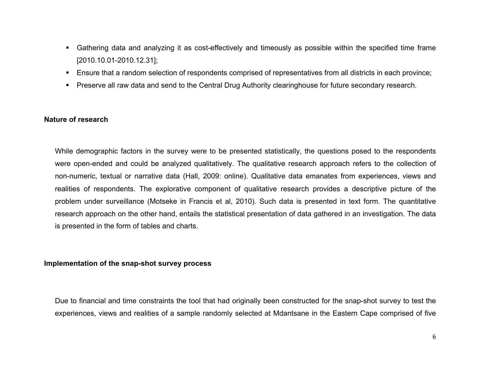- Gathering data and analyzing it as cost-effectively and timeously as possible within the specified time frame [2010.10.01-2010.12.31];
- Ensure that a random selection of respondents comprised of representatives from all districts in each province;
- **Preserve all raw data and send to the Central Drug Authority clearinghouse for future secondary research.**

#### **Nature of research**

While demographic factors in the survey were to be presented statistically, the questions posed to the respondents were open-ended and could be analyzed qualitatively. The qualitative research approach refers to the collection of non-numeric, textual or narrative data (Hall, 2009: online). Qualitative data emanates from experiences, views and realities of respondents. The explorative component of qualitative research provides a descriptive picture of the problem under surveillance (Motseke in Francis et al, 2010). Such data is presented in text form. The quantitative research approach on the other hand, entails the statistical presentation of data gathered in an investigation. The data is presented in the form of tables and charts.

#### **Implementation of the snap-shot survey process**

Due to financial and time constraints the tool that had originally been constructed for the snap-shot survey to test the experiences, views and realities of a sample randomly selected at Mdantsane in the Eastern Cape comprised of five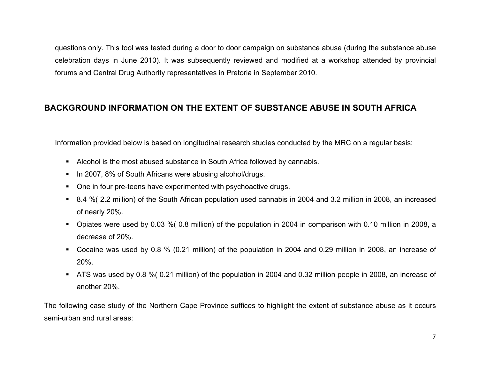questions only. This tool was tested during a door to door campaign on substance abuse (during the substance abuse celebration days in June 2010). It was subsequently reviewed and modified at a workshop attended by provincial forums and Central Drug Authority representatives in Pretoria in September 2010.

# **BACKGROUND INFORMATION ON THE EXTENT OF SUBSTANCE ABUSE IN SOUTH AFRICA**

Information provided below is based on longitudinal research studies conducted by the MRC on a regular basis:

- Alcohol is the most abused substance in South Africa followed by cannabis.
- In 2007, 8% of South Africans were abusing alcohol/drugs.
- One in four pre-teens have experimented with psychoactive drugs.
- 8.4 %( 2.2 million) of the South African population used cannabis in 2004 and 3.2 million in 2008, an increased of nearly 20%.
- Opiates were used by 0.03 %( 0.8 million) of the population in 2004 in comparison with 0.10 million in 2008, a decrease of 20%.
- Cocaine was used by 0.8 % (0.21 million) of the population in 2004 and 0.29 million in 2008, an increase of 20%.
- ATS was used by 0.8 %( 0.21 million) of the population in 2004 and 0.32 million people in 2008, an increase of another 20%.

The following case study of the Northern Cape Province suffices to highlight the extent of substance abuse as it occurs semi-urban and rural areas: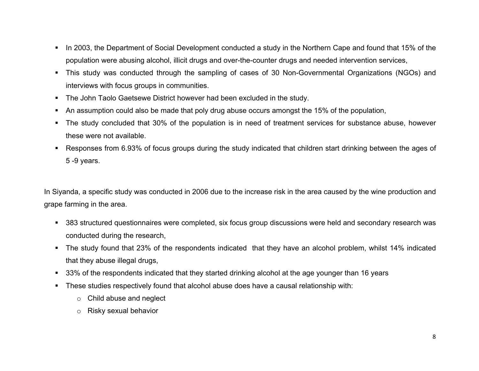- In 2003, the Department of Social Development conducted a study in the Northern Cape and found that 15% of the population were abusing alcohol, illicit drugs and over-the-counter drugs and needed intervention services,
- This study was conducted through the sampling of cases of 30 Non-Governmental Organizations (NGOs) and interviews with focus groups in communities.
- The John Taolo Gaetsewe District however had been excluded in the study.
- An assumption could also be made that poly drug abuse occurs amongst the 15% of the population,
- The study concluded that 30% of the population is in need of treatment services for substance abuse, however these were not available.
- Responses from 6.93% of focus groups during the study indicated that children start drinking between the ages of 5 -9 years.

In Siyanda, a specific study was conducted in 2006 due to the increase risk in the area caused by the wine production and grape farming in the area.

- 383 structured questionnaires were completed, six focus group discussions were held and secondary research was conducted during the research,
- The study found that 23% of the respondents indicated that they have an alcohol problem, whilst 14% indicated that they abuse illegal drugs,
- 33% of the respondents indicated that they started drinking alcohol at the age younger than 16 years
- These studies respectively found that alcohol abuse does have a causal relationship with:
	- o Child abuse and neglect
	- o Risky sexual behavior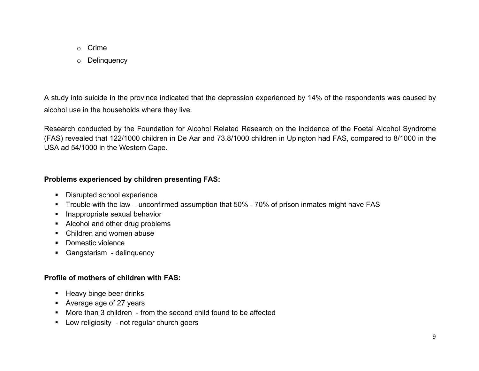- o Crime
- o Delinquency

A study into suicide in the province indicated that the depression experienced by 14% of the respondents was caused by alcohol use in the households where they live.

Research conducted by the Foundation for Alcohol Related Research on the incidence of the Foetal Alcohol Syndrome (FAS) revealed that 122/1000 children in De Aar and 73.8/1000 children in Upington had FAS, compared to 8/1000 in the USA ad 54/1000 in the Western Cape.

# **Problems experienced by children presenting FAS:**

- **•** Disrupted school experience
- **Trouble with the law unconfirmed assumption that 50% 70% of prison inmates might have FAS**
- **Inappropriate sexual behavior**
- Alcohol and other drug problems
- Children and women abuse
- Domestic violence
- **Gangstarism** delinquency

# **Profile of mothers of children with FAS:**

- Heavy binge beer drinks
- Average age of 27 years
- More than 3 children from the second child found to be affected
- **EXEC** Low religiosity not regular church goers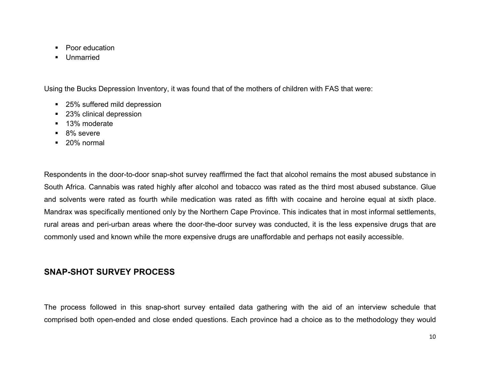- Poor education
- **Unmarried**

Using the Bucks Depression Inventory, it was found that of the mothers of children with FAS that were:

- 25% suffered mild depression
- 23% clinical depression
- **13% moderate**
- 8% severe
- 20% normal

Respondents in the door-to-door snap-shot survey reaffirmed the fact that alcohol remains the most abused substance in South Africa. Cannabis was rated highly after alcohol and tobacco was rated as the third most abused substance. Glue and solvents were rated as fourth while medication was rated as fifth with cocaine and heroine equal at sixth place. Mandrax was specifically mentioned only by the Northern Cape Province. This indicates that in most informal settlements, rural areas and peri-urban areas where the door-the-door survey was conducted, it is the less expensive drugs that are commonly used and known while the more expensive drugs are unaffordable and perhaps not easily accessible.

# **SNAP-SHOT SURVEY PROCESS**

The process followed in this snap-short survey entailed data gathering with the aid of an interview schedule that comprised both open-ended and close ended questions. Each province had a choice as to the methodology they would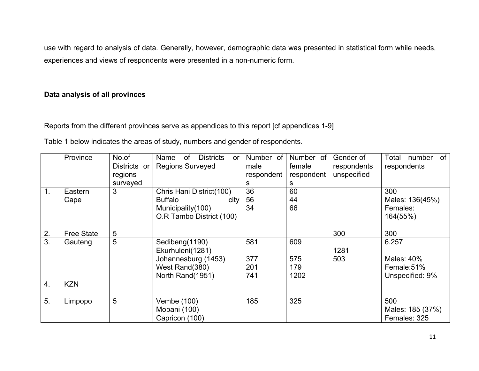use with regard to analysis of data. Generally, however, demographic data was presented in statistical form while needs, experiences and views of respondents were presented in a non-numeric form.

### **Data analysis of all provinces**

Reports from the different provinces serve as appendices to this report [cf appendices 1-9]

Table 1 below indicates the areas of study, numbers and gender of respondents.

|    | Province          | No.of        | of<br><b>Districts</b><br>Name<br>or | Number of  | Number of  | Gender of   | of<br>Total<br>number |
|----|-------------------|--------------|--------------------------------------|------------|------------|-------------|-----------------------|
|    |                   | Districts or | <b>Regions Surveyed</b>              | male       | female     | respondents | respondents           |
|    |                   | regions      |                                      | respondent | respondent | unspecified |                       |
|    |                   | surveyed     |                                      | s          | S          |             |                       |
| 1. | Eastern           | 3            | Chris Hani District(100)             | 36         | 60         |             | 300                   |
|    | Cape              |              | <b>Buffalo</b><br>city               | 56         | 44         |             | Males: 136(45%)       |
|    |                   |              | Municipality(100)                    | 34         | 66         |             | Females:              |
|    |                   |              | O.R Tambo District (100)             |            |            |             | 164(55%)              |
|    |                   |              |                                      |            |            |             |                       |
| 2. | <b>Free State</b> | 5            |                                      |            |            | 300         | 300                   |
| 3. | Gauteng           | 5            | Sedibeng(1190)                       | 581        | 609        |             | 6.257                 |
|    |                   |              | Ekurhuleni(1281)                     |            |            | 1281        |                       |
|    |                   |              | Johannesburg (1453)                  | 377        | 575        | 503         | Males: 40%            |
|    |                   |              | West Rand(380)                       | 201        | 179        |             | Female:51%            |
|    |                   |              | North Rand(1951)                     | 741        | 1202       |             | Unspecified: 9%       |
| 4. | <b>KZN</b>        |              |                                      |            |            |             |                       |
|    |                   |              |                                      |            |            |             |                       |
| 5. | Limpopo           | 5            | Vembe (100)                          | 185        | 325        |             | 500                   |
|    |                   |              | Mopani (100)                         |            |            |             | Males: 185 (37%)      |
|    |                   |              | Capricon (100)                       |            |            |             | Females: 325          |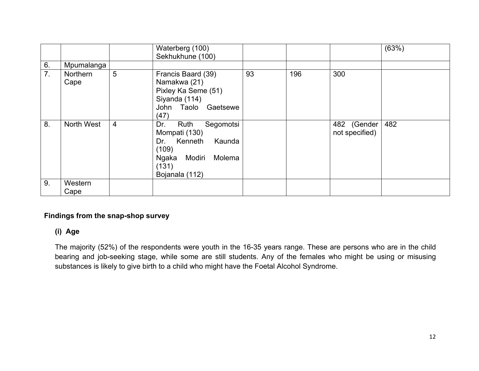|    |                  |                | Waterberg (100)<br>Sekhukhune (100)                                                                                                 |    |     |                               | (63%) |
|----|------------------|----------------|-------------------------------------------------------------------------------------------------------------------------------------|----|-----|-------------------------------|-------|
| 6. | Mpumalanga       |                |                                                                                                                                     |    |     |                               |       |
| 7. | Northern<br>Cape | 5              | Francis Baard (39)<br>Namakwa (21)<br>Pixley Ka Seme (51)<br>Siyanda (114)<br>John Taolo Gaetsewe<br>(47)                           | 93 | 196 | 300                           |       |
| 8. | North West       | $\overline{4}$ | Segomotsi<br>Dr.<br>Ruth<br>Mompati (130)<br>Dr. Kenneth<br>Kaunda<br>(109)<br>Modiri<br>Molema<br>Ngaka<br>(131)<br>Bojanala (112) |    |     | 482 (Gender<br>not specified) | 482   |
| 9. | Western          |                |                                                                                                                                     |    |     |                               |       |
|    | Cape             |                |                                                                                                                                     |    |     |                               |       |

### **Findings from the snap-shop survey**

### **(i) Age**

The majority (52%) of the respondents were youth in the 16-35 years range. These are persons who are in the child bearing and job-seeking stage, while some are still students. Any of the females who might be using or misusing substances is likely to give birth to a child who might have the Foetal Alcohol Syndrome.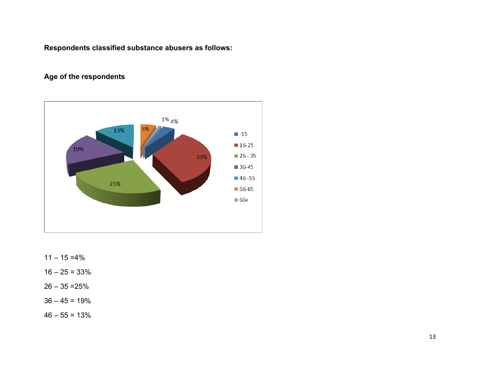**Respondents classified substance abusers as follows:**

# **Age of the respondents**



- $11 15 = 4\%$
- $16 25 = 33%$
- $26 35 = 25%$
- $36 45 = 19%$
- $46 55 = 13%$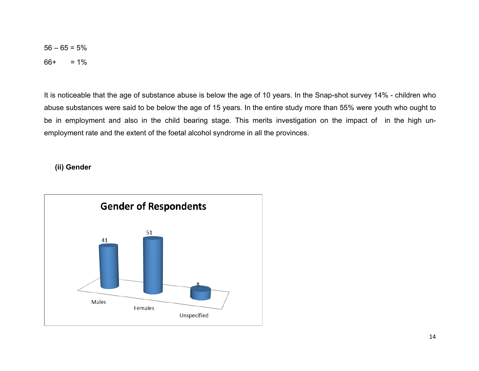$56 - 65 = 5%$  $66+ = 1\%$ 

It is noticeable that the age of substance abuse is below the age of 10 years. In the Snap-shot survey 14% - children who abuse substances were said to be below the age of 15 years. In the entire study more than 55% were youth who ought to be in employment and also in the child bearing stage. This merits investigation on the impact of in the high unemployment rate and the extent of the foetal alcohol syndrome in all the provinces.

#### **(ii) Gender**

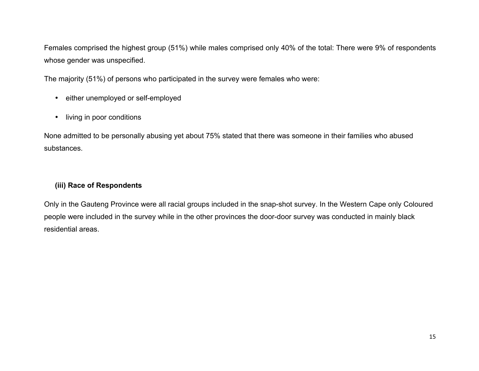Females comprised the highest group (51%) while males comprised only 40% of the total: There were 9% of respondents whose gender was unspecified.

The majority (51%) of persons who participated in the survey were females who were:

- either unemployed or self-employed
- living in poor conditions

None admitted to be personally abusing yet about 75% stated that there was someone in their families who abused substances.

### **(iii) Race of Respondents**

Only in the Gauteng Province were all racial groups included in the snap-shot survey. In the Western Cape only Coloured people were included in the survey while in the other provinces the door-door survey was conducted in mainly black residential areas.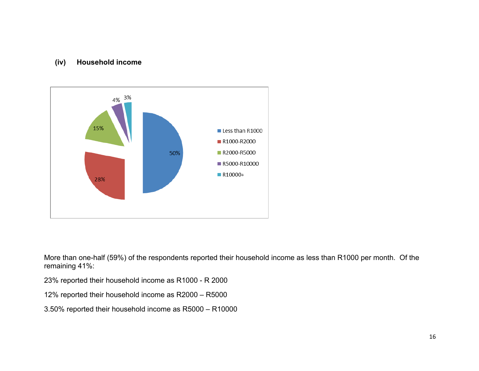### **(iv) Household income**



More than one-half (59%) of the respondents reported their household income as less than R1000 per month. Of the remaining 41%:

23% reported their household income as R1000 - R 2000

12% reported their household income as R2000 – R5000

3.50% reported their household income as R5000 – R10000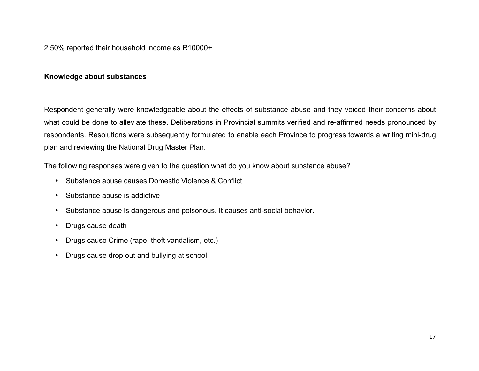### 2.50% reported their household income as R10000+

#### **Knowledge about substances**

Respondent generally were knowledgeable about the effects of substance abuse and they voiced their concerns about what could be done to alleviate these. Deliberations in Provincial summits verified and re-affirmed needs pronounced by respondents. Resolutions were subsequently formulated to enable each Province to progress towards a writing mini-drug plan and reviewing the National Drug Master Plan.

The following responses were given to the question what do you know about substance abuse?

- Substance abuse causes Domestic Violence & Conflict
- Substance abuse is addictive
- Substance abuse is dangerous and poisonous. It causes anti-social behavior.
- Drugs cause death
- Drugs cause Crime (rape, theft vandalism, etc.)
- Drugs cause drop out and bullying at school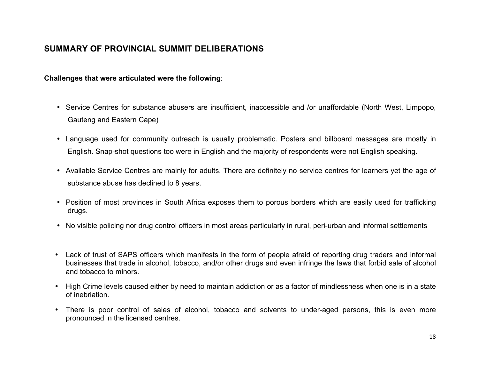# **SUMMARY OF PROVINCIAL SUMMIT DELIBERATIONS**

#### **Challenges that were articulated were the following**:

- Service Centres for substance abusers are insufficient, inaccessible and /or unaffordable (North West, Limpopo, Gauteng and Eastern Cape)
- Language used for community outreach is usually problematic. Posters and billboard messages are mostly in English. Snap-shot questions too were in English and the majority of respondents were not English speaking.
- Available Service Centres are mainly for adults. There are definitely no service centres for learners yet the age of substance abuse has declined to 8 years.
- Position of most provinces in South Africa exposes them to porous borders which are easily used for trafficking drugs.
- No visible policing nor drug control officers in most areas particularly in rural, peri-urban and informal settlements
- Lack of trust of SAPS officers which manifests in the form of people afraid of reporting drug traders and informal businesses that trade in alcohol, tobacco, and/or other drugs and even infringe the laws that forbid sale of alcohol and tobacco to minors.
- High Crime levels caused either by need to maintain addiction or as a factor of mindlessness when one is in a state of inebriation.
- There is poor control of sales of alcohol, tobacco and solvents to under-aged persons, this is even more pronounced in the licensed centres.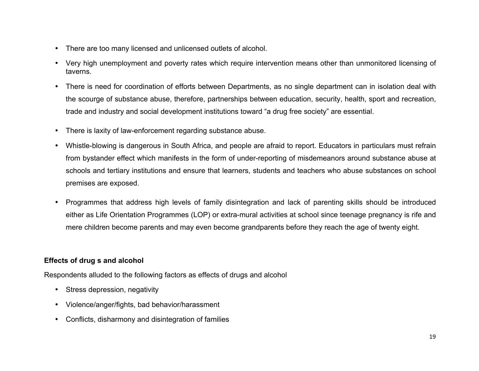- There are too many licensed and unlicensed outlets of alcohol.
- Very high unemployment and poverty rates which require intervention means other than unmonitored licensing of taverns.
- There is need for coordination of efforts between Departments, as no single department can in isolation deal with the scourge of substance abuse, therefore, partnerships between education, security, health, sport and recreation, trade and industry and social development institutions toward "a drug free society" are essential.
- There is laxity of law-enforcement regarding substance abuse.
- Whistle-blowing is dangerous in South Africa, and people are afraid to report. Educators in particulars must refrain from bystander effect which manifests in the form of under-reporting of misdemeanors around substance abuse at schools and tertiary institutions and ensure that learners, students and teachers who abuse substances on school premises are exposed.
- Programmes that address high levels of family disintegration and lack of parenting skills should be introduced either as Life Orientation Programmes (LOP) or extra-mural activities at school since teenage pregnancy is rife and mere children become parents and may even become grandparents before they reach the age of twenty eight.

### **Effects of drug s and alcohol**

Respondents alluded to the following factors as effects of drugs and alcohol

- Stress depression, negativity
- Violence/anger/fights, bad behavior/harassment
- Conflicts, disharmony and disintegration of families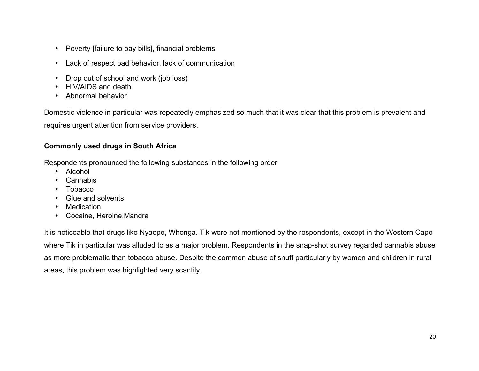- Poverty [failure to pay bills], financial problems
- Lack of respect bad behavior, lack of communication
- Drop out of school and work (job loss)
- HIV/AIDS and death
- Abnormal behavior

Domestic violence in particular was repeatedly emphasized so much that it was clear that this problem is prevalent and requires urgent attention from service providers.

### **Commonly used drugs in South Africa**

Respondents pronounced the following substances in the following order

- Alcohol
- **Cannabis**
- **Tobacco**
- Glue and solvents
- Medication
- Cocaine, Heroine,Mandra

It is noticeable that drugs like Nyaope, Whonga. Tik were not mentioned by the respondents, except in the Western Cape where Tik in particular was alluded to as a major problem. Respondents in the snap-shot survey regarded cannabis abuse as more problematic than tobacco abuse. Despite the common abuse of snuff particularly by women and children in rural areas, this problem was highlighted very scantily.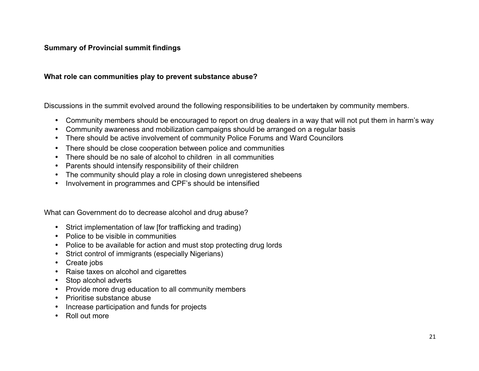### **Summary of Provincial summit findings**

#### **What role can communities play to prevent substance abuse?**

Discussions in the summit evolved around the following responsibilities to be undertaken by community members.

- Community members should be encouraged to report on drug dealers in a way that will not put them in harm's way
- Community awareness and mobilization campaigns should be arranged on a regular basis
- There should be active involvement of community Police Forums and Ward Councilors
- There should be close cooperation between police and communities
- There should be no sale of alcohol to children in all communities
- Parents should intensify responsibility of their children
- The community should play a role in closing down unregistered shebeens
- Involvement in programmes and CPF's should be intensified

What can Government do to decrease alcohol and drug abuse?

- Strict implementation of law [for trafficking and trading)
- Police to be visible in communities
- Police to be available for action and must stop protecting drug lords
- Strict control of immigrants (especially Nigerians)
- Create jobs
- Raise taxes on alcohol and cigarettes
- Stop alcohol adverts
- Provide more drug education to all community members
- Prioritise substance abuse
- Increase participation and funds for projects
- Roll out more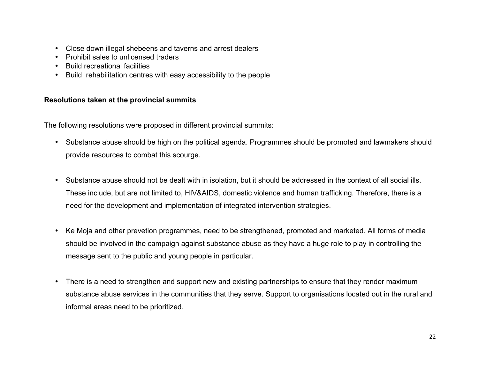- Close down illegal shebeens and taverns and arrest dealers
- Prohibit sales to unlicensed traders
- Build recreational facilities
- Build rehabilitation centres with easy accessibility to the people

### **Resolutions taken at the provincial summits**

The following resolutions were proposed in different provincial summits:

- Substance abuse should be high on the political agenda. Programmes should be promoted and lawmakers should provide resources to combat this scourge.
- Substance abuse should not be dealt with in isolation, but it should be addressed in the context of all social ills. These include, but are not limited to, HIV&AIDS, domestic violence and human trafficking. Therefore, there is a need for the development and implementation of integrated intervention strategies.
- Ke Moja and other prevetion programmes, need to be strengthened, promoted and marketed. All forms of media should be involved in the campaign against substance abuse as they have a huge role to play in controlling the message sent to the public and young people in particular.
- There is a need to strengthen and support new and existing partnerships to ensure that they render maximum substance abuse services in the communities that they serve. Support to organisations located out in the rural and informal areas need to be prioritized.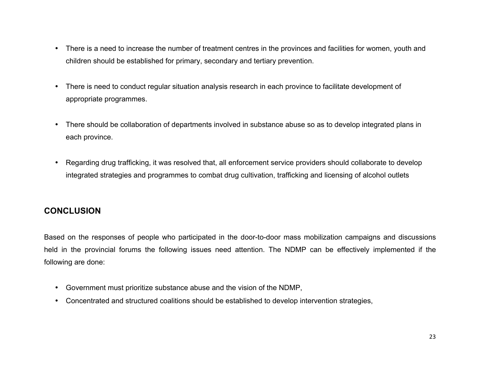- There is a need to increase the number of treatment centres in the provinces and facilities for women, youth and children should be established for primary, secondary and tertiary prevention.
- There is need to conduct regular situation analysis research in each province to facilitate development of appropriate programmes.
- There should be collaboration of departments involved in substance abuse so as to develop integrated plans in each province.
- Regarding drug trafficking, it was resolved that, all enforcement service providers should collaborate to develop integrated strategies and programmes to combat drug cultivation, trafficking and licensing of alcohol outlets

# **CONCLUSION**

Based on the responses of people who participated in the door-to-door mass mobilization campaigns and discussions held in the provincial forums the following issues need attention. The NDMP can be effectively implemented if the following are done:

- Government must prioritize substance abuse and the vision of the NDMP,
- Concentrated and structured coalitions should be established to develop intervention strategies,